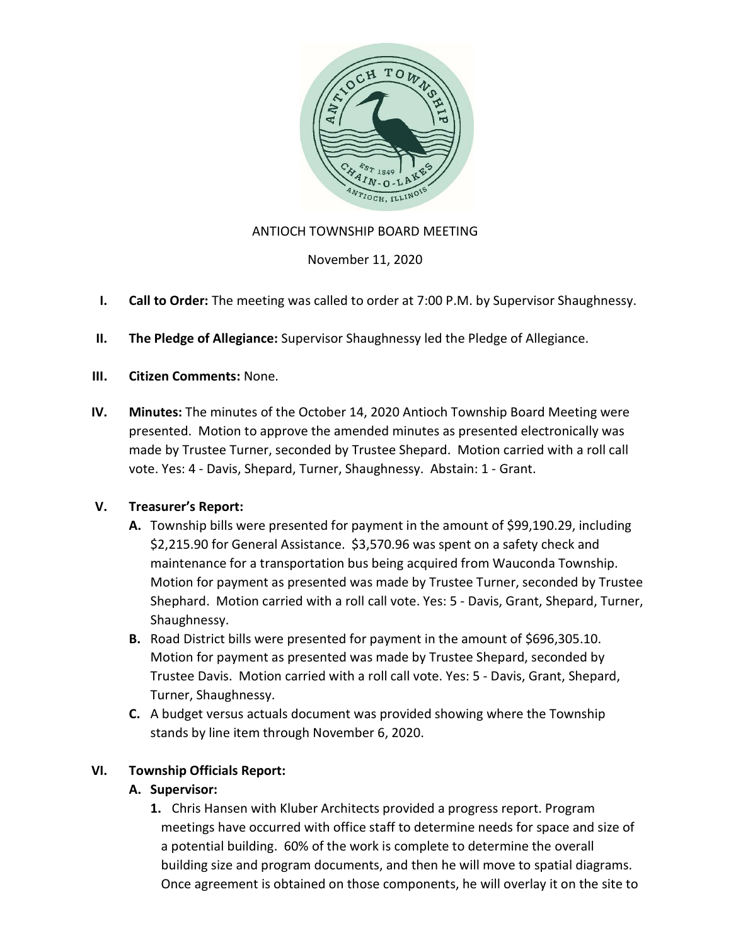

## ANTIOCH TOWNSHIP BOARD MEETING

November 11, 2020

- I. Call to Order: The meeting was called to order at 7:00 P.M. by Supervisor Shaughnessy.
- II. The Pledge of Allegiance: Supervisor Shaughnessy led the Pledge of Allegiance.
- III. Citizen Comments: None.
- IV. Minutes: The minutes of the October 14, 2020 Antioch Township Board Meeting were presented. Motion to approve the amended minutes as presented electronically was made by Trustee Turner, seconded by Trustee Shepard. Motion carried with a roll call vote. Yes: 4 - Davis, Shepard, Turner, Shaughnessy. Abstain: 1 - Grant.

## V. Treasurer's Report:

- A. Township bills were presented for payment in the amount of \$99,190.29, including \$2,215.90 for General Assistance. \$3,570.96 was spent on a safety check and maintenance for a transportation bus being acquired from Wauconda Township. Motion for payment as presented was made by Trustee Turner, seconded by Trustee Shephard. Motion carried with a roll call vote. Yes: 5 - Davis, Grant, Shepard, Turner, Shaughnessy.
- B. Road District bills were presented for payment in the amount of \$696,305.10. Motion for payment as presented was made by Trustee Shepard, seconded by Trustee Davis. Motion carried with a roll call vote. Yes: 5 - Davis, Grant, Shepard, Turner, Shaughnessy.
- C. A budget versus actuals document was provided showing where the Township stands by line item through November 6, 2020.

## VI. Township Officials Report:

## A. Supervisor:

1. Chris Hansen with Kluber Architects provided a progress report. Program meetings have occurred with office staff to determine needs for space and size of a potential building. 60% of the work is complete to determine the overall building size and program documents, and then he will move to spatial diagrams. Once agreement is obtained on those components, he will overlay it on the site to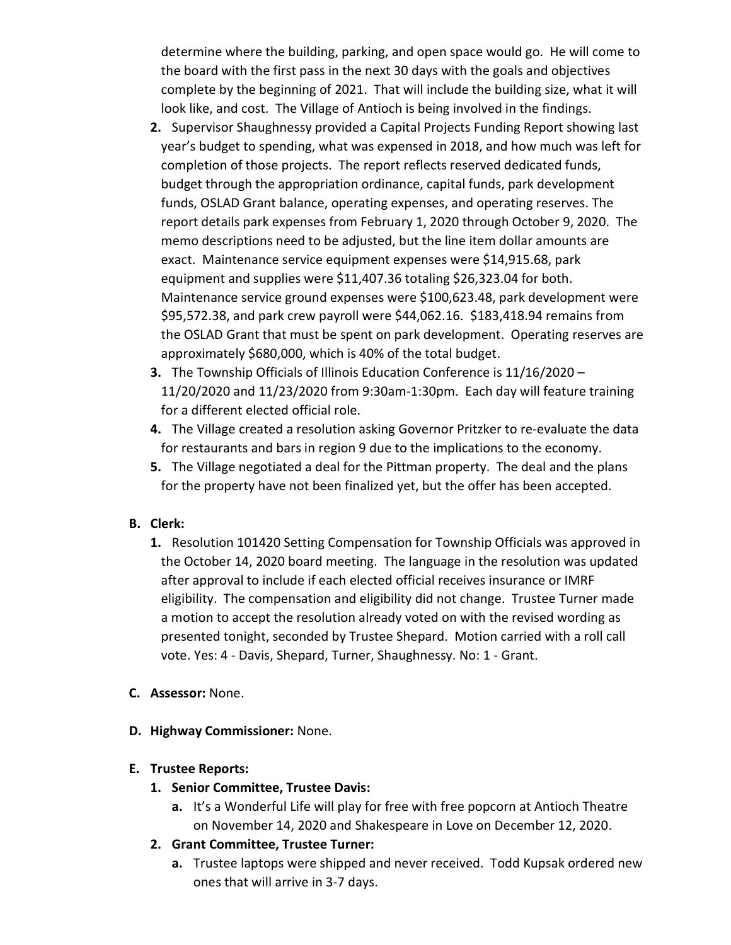determine where the building, parking, and open space would go. He will come to the board with the first pass in the next 30 days with the goals and objectives complete by the beginning of 2021. That will include the building size, what it will look like, and cost. The Village of Antioch is being involved in the findings.

- 2. Supervisor Shaughnessy provided a Capital Projects Funding Report showing last year's budget to spending, what was expensed in 2018, and how much was left for completion of those projects. The report reflects reserved dedicated funds, budget through the appropriation ordinance, capital funds, park development funds, OSLAD Grant balance, operating expenses, and operating reserves. The report details park expenses from February 1, 2020 through October 9, 2020. The memo descriptions need to be adjusted, but the line item dollar amounts are exact. Maintenance service equipment expenses were \$14,915.68, park equipment and supplies were \$11,407.36 totaling \$26,323.04 for both. Maintenance service ground expenses were \$100,623.48, park development were \$95,572.38, and park crew payroll were \$44,062.16. \$183,418.94 remains from the OSLAD Grant that must be spent on park development. Operating reserves are approximately \$680,000, which is 40% of the total budget.
- 3. The Township Officials of Illinois Education Conference is 11/16/2020 11/20/2020 and 11/23/2020 from 9:30am-1:30pm. Each day will feature training for a different elected official role.
- 4. The Village created a resolution asking Governor Pritzker to re-evaluate the data for restaurants and bars in region 9 due to the implications to the economy.
- 5. The Village negotiated a deal for the Pittman property. The deal and the plans for the property have not been finalized yet, but the offer has been accepted.

## B. Clerk:

- 1. Resolution 101420 Setting Compensation for Township Officials was approved in the October 14, 2020 board meeting. The language in the resolution was updated after approval to include if each elected official receives insurance or IMRF eligibility. The compensation and eligibility did not change. Trustee Turner made a motion to accept the resolution already voted on with the revised wording as presented tonight, seconded by Trustee Shepard. Motion carried with a roll call vote. Yes: 4 - Davis, Shepard, Turner, Shaughnessy. No: 1 - Grant.
- C. Assessor: None.
- D. Highway Commissioner: None.

## E. Trustee Reports:

- 1. Senior Committee, Trustee Davis:
	- a. It's a Wonderful Life will play for free with free popcorn at Antioch Theatre on November 14, 2020 and Shakespeare in Love on December 12, 2020.
- 2. Grant Committee, Trustee Turner:
	- a. Trustee laptops were shipped and never received. Todd Kupsak ordered new ones that will arrive in 3-7 days.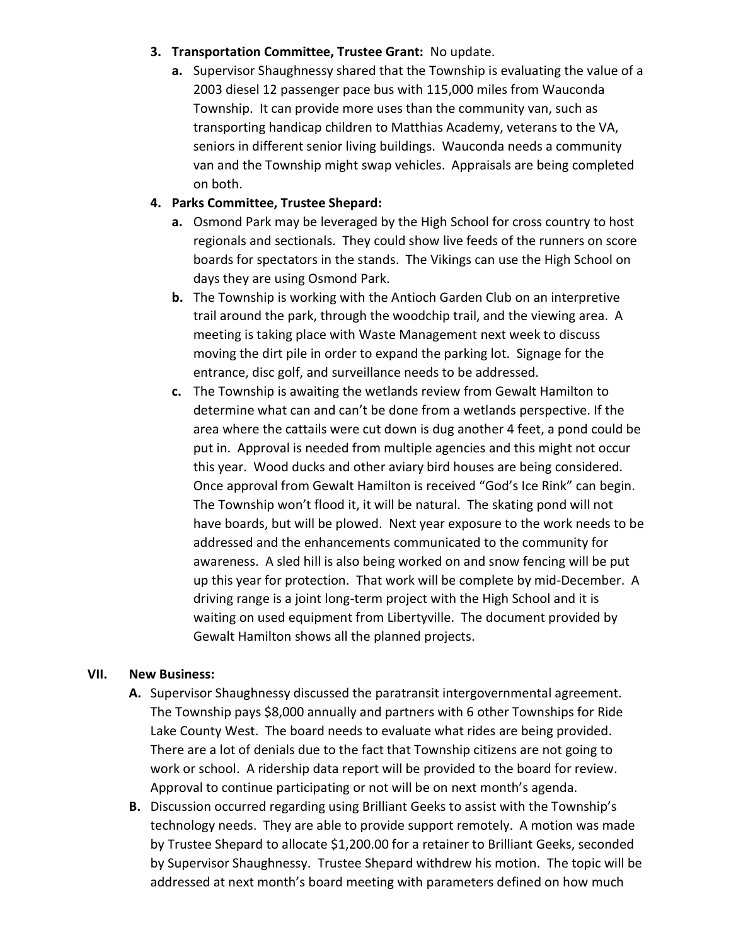#### 3. Transportation Committee, Trustee Grant: No update.

a. Supervisor Shaughnessy shared that the Township is evaluating the value of a 2003 diesel 12 passenger pace bus with 115,000 miles from Wauconda Township. It can provide more uses than the community van, such as transporting handicap children to Matthias Academy, veterans to the VA, seniors in different senior living buildings. Wauconda needs a community van and the Township might swap vehicles. Appraisals are being completed on both.

# 4. Parks Committee, Trustee Shepard:

- a. Osmond Park may be leveraged by the High School for cross country to host regionals and sectionals. They could show live feeds of the runners on score boards for spectators in the stands. The Vikings can use the High School on days they are using Osmond Park.
- b. The Township is working with the Antioch Garden Club on an interpretive trail around the park, through the woodchip trail, and the viewing area. A meeting is taking place with Waste Management next week to discuss moving the dirt pile in order to expand the parking lot. Signage for the entrance, disc golf, and surveillance needs to be addressed.
- c. The Township is awaiting the wetlands review from Gewalt Hamilton to determine what can and can't be done from a wetlands perspective. If the area where the cattails were cut down is dug another 4 feet, a pond could be put in. Approval is needed from multiple agencies and this might not occur this year. Wood ducks and other aviary bird houses are being considered. Once approval from Gewalt Hamilton is received "God's Ice Rink" can begin. The Township won't flood it, it will be natural. The skating pond will not have boards, but will be plowed. Next year exposure to the work needs to be addressed and the enhancements communicated to the community for awareness. A sled hill is also being worked on and snow fencing will be put up this year for protection. That work will be complete by mid-December. A driving range is a joint long-term project with the High School and it is waiting on used equipment from Libertyville. The document provided by Gewalt Hamilton shows all the planned projects.

## VII. New Business:

- A. Supervisor Shaughnessy discussed the paratransit intergovernmental agreement. The Township pays \$8,000 annually and partners with 6 other Townships for Ride Lake County West. The board needs to evaluate what rides are being provided. There are a lot of denials due to the fact that Township citizens are not going to work or school. A ridership data report will be provided to the board for review. Approval to continue participating or not will be on next month's agenda.
- B. Discussion occurred regarding using Brilliant Geeks to assist with the Township's technology needs. They are able to provide support remotely. A motion was made by Trustee Shepard to allocate \$1,200.00 for a retainer to Brilliant Geeks, seconded by Supervisor Shaughnessy. Trustee Shepard withdrew his motion. The topic will be addressed at next month's board meeting with parameters defined on how much